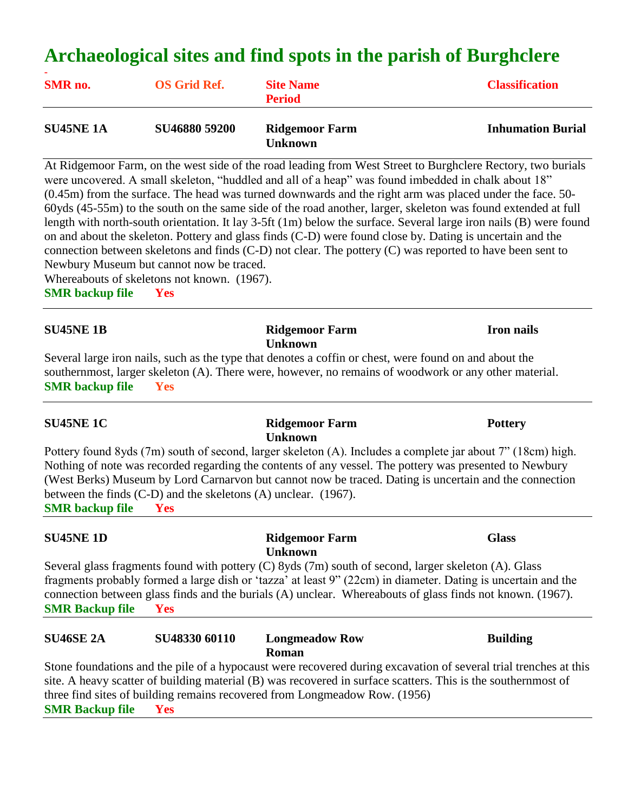# **Archaeological sites and find spots in the parish of Burghclere**

| <b>SMR</b> no.   | <b>OS Grid Ref.</b> | <b>Site Name</b><br><b>Period</b>         | <b>Classification</b>    |
|------------------|---------------------|-------------------------------------------|--------------------------|
| <b>SU45NE 1A</b> | SU46880 59200       | <b>Ridgemoor Farm</b><br><b>I</b> Inknown | <b>Inhumation Burial</b> |

At Ridgemoor Farm, on the west side of the road leading from West Street to Burghclere Rectory, two burials were uncovered. A small skeleton, "huddled and all of a heap" was found imbedded in chalk about 18" (0.45m) from the surface. The head was turned downwards and the right arm was placed under the face. 50- 60yds (45-55m) to the south on the same side of the road another, larger, skeleton was found extended at full length with north-south orientation. It lay 3-5ft (1m) below the surface. Several large iron nails (B) were found on and about the skeleton. Pottery and glass finds (C-D) were found close by. Dating is uncertain and the connection between skeletons and finds (C-D) not clear. The pottery (C) was reported to have been sent to Newbury Museum but cannot now be traced.

Whereabouts of skeletons not known. (1967).

**SMR backup file Yes**

### **SU45NE 1B Ridgemoor Farm Iron nails Unknown**

Several large iron nails, such as the type that denotes a coffin or chest, were found on and about the southernmost, larger skeleton (A). There were, however, no remains of woodwork or any other material. **SMR backup file Yes**

### **SU45NE 1C Ridgemoor Farm Pottery Unknown**

Pottery found 8yds (7m) south of second, larger skeleton (A). Includes a complete jar about 7" (18cm) high. Nothing of note was recorded regarding the contents of any vessel. The pottery was presented to Newbury (West Berks) Museum by Lord Carnarvon but cannot now be traced. Dating is uncertain and the connection between the finds (C-D) and the skeletons (A) unclear. (1967). **SMR backup file Yes**

**SU45NE 1D Ridgemoor Farm Glass Unknown** Several glass fragments found with pottery (C) 8yds (7m) south of second, larger skeleton (A). Glass fragments probably formed a large dish or 'tazza' at least 9" (22cm) in diameter. Dating is uncertain and the connection between glass finds and the burials (A) unclear. Whereabouts of glass finds not known. (1967). **SMR Backup file Yes**

| <b>SU46SE 2A</b>                                                                   | SU48330 60110 | <b>Longmeadow Row</b>                                                                                         | <b>Building</b>                                                                                                  |
|------------------------------------------------------------------------------------|---------------|---------------------------------------------------------------------------------------------------------------|------------------------------------------------------------------------------------------------------------------|
|                                                                                    |               | <b>Roman</b>                                                                                                  |                                                                                                                  |
|                                                                                    |               |                                                                                                               | Stone foundations and the pile of a hypocaust were recovered during excavation of several trial trenches at this |
|                                                                                    |               | site. A heavy scatter of building material (B) was recovered in surface scatters. This is the southernmost of |                                                                                                                  |
|                                                                                    |               | three find sites of building remains recovered from Longmeadow Row. (1956)                                    |                                                                                                                  |
| $C1$ $\mathbf{r}$ $\mathbf{n}$ $\mathbf{u}$ $\mathbf{v}$ $\mathbf{v}$ $\mathbf{v}$ |               |                                                                                                               |                                                                                                                  |

**SMR Backup file Yes**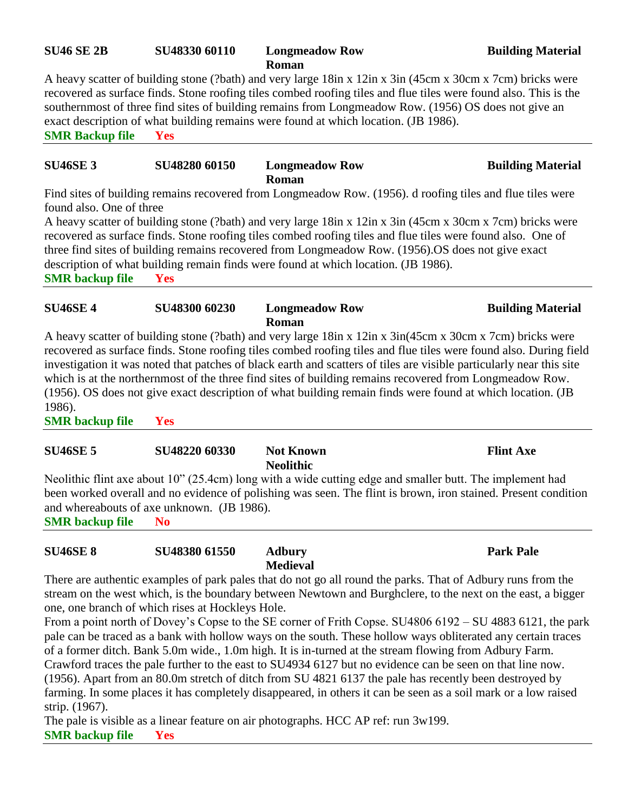# **SU46 SE 2B SU48330 60110 Longmeadow Row Building Material**

**Roman** A heavy scatter of building stone (?bath) and very large 18in x 12in x 3in (45cm x 30cm x 7cm) bricks were recovered as surface finds. Stone roofing tiles combed roofing tiles and flue tiles were found also. This is the southernmost of three find sites of building remains from Longmeadow Row. (1956) OS does not give an exact description of what building remains were found at which location. (JB 1986). **SMR Backup file Yes**

### **SU46SE 3 SU48280 60150 Longmeadow Row Building Material Roman**

Find sites of building remains recovered from Longmeadow Row. (1956). d roofing tiles and flue tiles were found also. One of three

A heavy scatter of building stone (?bath) and very large 18in x 12in x 3in (45cm x 30cm x 7cm) bricks were recovered as surface finds. Stone roofing tiles combed roofing tiles and flue tiles were found also. One of three find sites of building remains recovered from Longmeadow Row. (1956).OS does not give exact description of what building remain finds were found at which location. (JB 1986).

**SMR backup file Yes**

# **SU46SE 4 SU48300 60230 Longmeadow Row Building Material Roman**

A heavy scatter of building stone (?bath) and very large 18in x 12in x 3in(45cm x 30cm x 7cm) bricks were recovered as surface finds. Stone roofing tiles combed roofing tiles and flue tiles were found also. During field investigation it was noted that patches of black earth and scatters of tiles are visible particularly near this site which is at the northernmost of the three find sites of building remains recovered from Longmeadow Row. (1956). OS does not give exact description of what building remain finds were found at which location. (JB 1986).

**SMR backup file Yes**

# **SU46SE 5 SU48220 60330 Not Known Flint Axe Neolithic**

Neolithic flint axe about 10" (25.4cm) long with a wide cutting edge and smaller butt. The implement had been worked overall and no evidence of polishing was seen. The flint is brown, iron stained. Present condition and whereabouts of axe unknown. (JB 1986).

**SMR backup file No**

# **SU46SE 8 SU48380 61550 Adbury Park Pale**

# **Medieval**

There are authentic examples of park pales that do not go all round the parks. That of Adbury runs from the stream on the west which, is the boundary between Newtown and Burghclere, to the next on the east, a bigger one, one branch of which rises at Hockleys Hole.

From a point north of Dovey's Copse to the SE corner of Frith Copse. SU4806 6192 – SU 4883 6121, the park pale can be traced as a bank with hollow ways on the south. These hollow ways obliterated any certain traces of a former ditch. Bank 5.0m wide., 1.0m high. It is in-turned at the stream flowing from Adbury Farm. Crawford traces the pale further to the east to SU4934 6127 but no evidence can be seen on that line now. (1956). Apart from an 80.0m stretch of ditch from SU 4821 6137 the pale has recently been destroyed by farming. In some places it has completely disappeared, in others it can be seen as a soil mark or a low raised strip. (1967).

The pale is visible as a linear feature on air photographs. HCC AP ref: run 3w199. **SMR backup file Yes**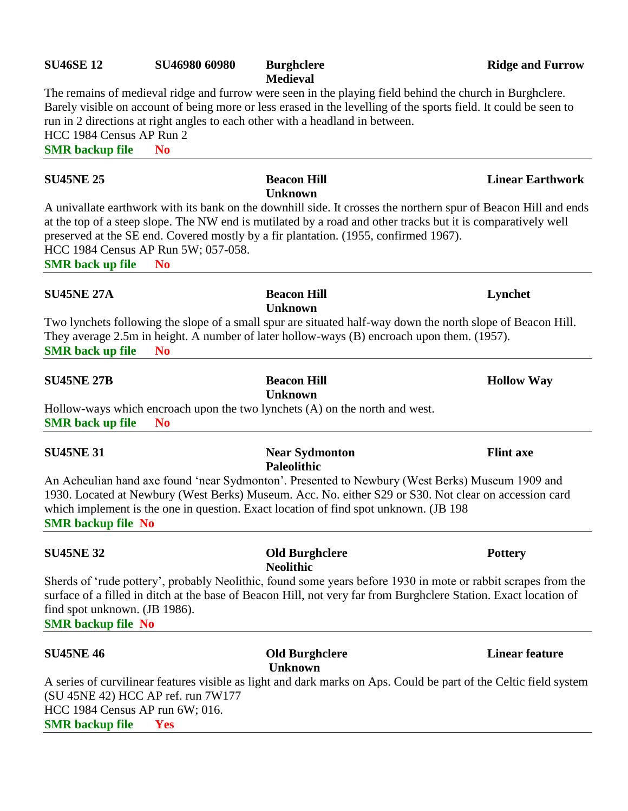### **SU46SE 12 SU46980 60980 Burghclere Ridge and Furrow Ridge and Furrow**

**Medieval**

**Unknown**

The remains of medieval ridge and furrow were seen in the playing field behind the church in Burghclere. Barely visible on account of being more or less erased in the levelling of the sports field. It could be seen to run in 2 directions at right angles to each other with a headland in between. HCC 1984 Census AP Run 2

**SMR backup file No**

## **SU45NE 25 Beacon Hill Linear Earthwork**

A univallate earthwork with its bank on the downhill side. It crosses the northern spur of Beacon Hill and ends at the top of a steep slope. The NW end is mutilated by a road and other tracks but it is comparatively well preserved at the SE end. Covered mostly by a fir plantation. (1955, confirmed 1967). HCC 1984 Census AP Run 5W; 057-058. **SMR back up file No**

**SU45NE 27A Beacon Hill Lynchet Unknown** Two lynchets following the slope of a small spur are situated half-way down the north slope of Beacon Hill. They average 2.5m in height. A number of later hollow-ways (B) encroach upon them. (1957).

**SMR back up file No**

## **SU45NE 27B Beacon Hill Beacon Hill Hollow Way**

**Unknown** Hollow-ways which encroach upon the two lynchets (A) on the north and west. **SMR back up file No**

**SU45NE 31 Near Sydmonton Flint axe Paleolithic** An Acheulian hand axe found 'near Sydmonton'. Presented to Newbury (West Berks) Museum 1909 and 1930. Located at Newbury (West Berks) Museum. Acc. No. either S29 or S30. Not clear on accession card which implement is the one in question. Exact location of find spot unknown. (JB 198) **SMR backup file No**

**Neolithic** Sherds of 'rude pottery', probably Neolithic, found some years before 1930 in mote or rabbit scrapes from the surface of a filled in ditch at the base of Beacon Hill, not very far from Burghclere Station. Exact location of find spot unknown. (JB 1986). **SMR backup file No**

**SU45NE 32 Old Burghclere Pottery**

### **SU45NE 46 Old Burghclere Linear feature Unknown**

A series of curvilinear features visible as light and dark marks on Aps. Could be part of the Celtic field system (SU 45NE 42) HCC AP ref. run 7W177 HCC 1984 Census AP run 6W; 016. **SMR backup file Yes**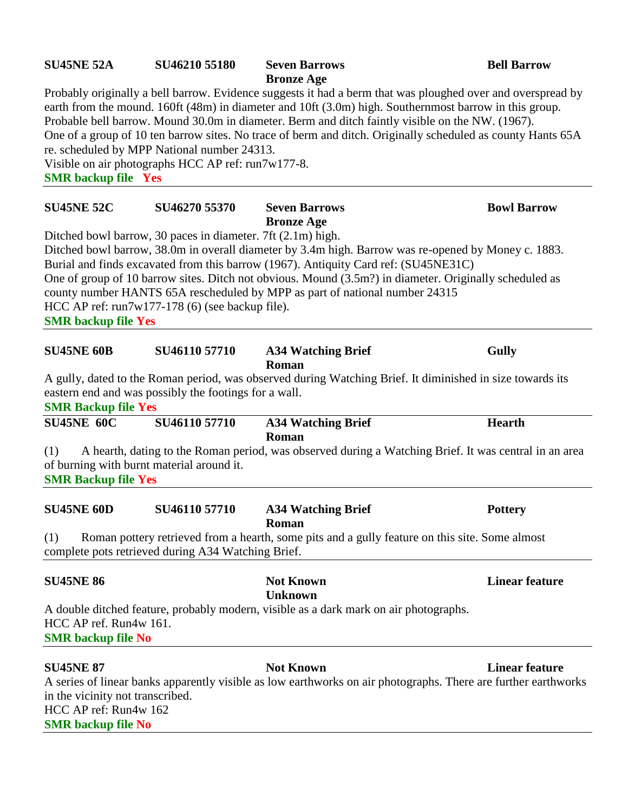# **SU45NE 52A SU46210 55180 Seven Barrows Bell Barrow**

**Bronze Age**

Probably originally a bell barrow. Evidence suggests it had a berm that was ploughed over and overspread by earth from the mound. 160ft (48m) in diameter and 10ft (3.0m) high. Southernmost barrow in this group. Probable bell barrow. Mound 30.0m in diameter. Berm and ditch faintly visible on the NW. (1967). One of a group of 10 ten barrow sites. No trace of berm and ditch. Originally scheduled as county Hants 65A re. scheduled by MPP National number 24313. Visible on air photographs HCC AP ref: run7w177-8.

**SMR backup file Yes**

| <b>SU45NE 52C</b>                                                                                          | SU46270 55370                                                                                                   | <b>Seven Barrows</b><br><b>Bronze Age</b>                                                                                                                                                                                                                                                                                                                                           | <b>Bowl Barrow</b>    |
|------------------------------------------------------------------------------------------------------------|-----------------------------------------------------------------------------------------------------------------|-------------------------------------------------------------------------------------------------------------------------------------------------------------------------------------------------------------------------------------------------------------------------------------------------------------------------------------------------------------------------------------|-----------------------|
| <b>SMR</b> backup file Yes                                                                                 | Ditched bowl barrow, 30 paces in diameter. 7ft (2.1m) high.<br>HCC AP ref: $run7w177-178(6)$ (see backup file). | Ditched bowl barrow, 38.0m in overall diameter by 3.4m high. Barrow was re-opened by Money c. 1883.<br>Burial and finds excavated from this barrow (1967). Antiquity Card ref: (SU45NE31C)<br>One of group of 10 barrow sites. Ditch not obvious. Mound (3.5m?) in diameter. Originally scheduled as<br>county number HANTS 65A rescheduled by MPP as part of national number 24315 |                       |
| <b>SU45NE 60B</b>                                                                                          | SU46110 57710                                                                                                   | <b>A34 Watching Brief</b><br>Roman                                                                                                                                                                                                                                                                                                                                                  | <b>Gully</b>          |
| <b>SMR Backup file Yes</b>                                                                                 | eastern end and was possibly the footings for a wall.                                                           | A gully, dated to the Roman period, was observed during Watching Brief. It diminished in size towards its                                                                                                                                                                                                                                                                           |                       |
| <b>SU45NE 60C</b>                                                                                          | SU46110 57710                                                                                                   | <b>A34 Watching Brief</b><br>Roman                                                                                                                                                                                                                                                                                                                                                  | <b>Hearth</b>         |
| (1)<br><b>SMR Backup file Yes</b>                                                                          | of burning with burnt material around it.                                                                       | A hearth, dating to the Roman period, was observed during a Watching Brief. It was central in an area                                                                                                                                                                                                                                                                               |                       |
| <b>SU45NE 60D</b>                                                                                          | SU46110 57710                                                                                                   | <b>A34 Watching Brief</b><br>Roman                                                                                                                                                                                                                                                                                                                                                  | <b>Pottery</b>        |
| (1)                                                                                                        | complete pots retrieved during A34 Watching Brief.                                                              | Roman pottery retrieved from a hearth, some pits and a gully feature on this site. Some almost                                                                                                                                                                                                                                                                                      |                       |
| <b>SU45NE 86</b>                                                                                           |                                                                                                                 | <b>Not Known</b><br><b>Unknown</b>                                                                                                                                                                                                                                                                                                                                                  | <b>Linear feature</b> |
| HCC AP ref. Run4w 161.<br><b>SMR</b> backup file No                                                        |                                                                                                                 | A double ditched feature, probably modern, visible as a dark mark on air photographs.                                                                                                                                                                                                                                                                                               |                       |
| <b>SU45NE 87</b><br>in the vicinity not transcribed.<br>HCC AP ref: Run4w 162<br><b>SMR</b> backup file No |                                                                                                                 | <b>Not Known</b><br>A series of linear banks apparently visible as low earthworks on air photographs. There are further earthworks                                                                                                                                                                                                                                                  | <b>Linear feature</b> |